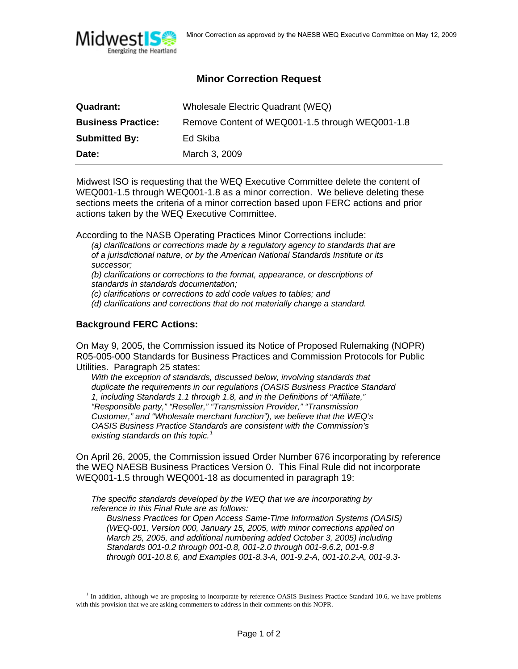

## **Minor Correction Request**

| Quadrant:                 | Wholesale Electric Quadrant (WEQ)               |
|---------------------------|-------------------------------------------------|
| <b>Business Practice:</b> | Remove Content of WEQ001-1.5 through WEQ001-1.8 |
| <b>Submitted By:</b>      | Ed Skiba                                        |
| Date:                     | March 3, 2009                                   |

Midwest ISO is requesting that the WEQ Executive Committee delete the content of WEQ001-1.5 through WEQ001-1.8 as a minor correction. We believe deleting these sections meets the criteria of a minor correction based upon FERC actions and prior actions taken by the WEQ Executive Committee.

According to the NASB Operating Practices Minor Corrections include:

*(a) clarifications or corrections made by a regulatory agency to standards that are of a jurisdictional nature, or by the American National Standards Institute or its successor;* 

*(b) clarifications or corrections to the format, appearance, or descriptions of standards in standards documentation;* 

*(c) clarifications or corrections to add code values to tables; and* 

*(d) clarifications and corrections that do not materially change a standard.* 

## **Background FERC Actions:**

On May 9, 2005, the Commission issued its Notice of Proposed Rulemaking (NOPR) R05-005-000 Standards for Business Practices and Commission Protocols for Public Utilities. Paragraph 25 states:

*With the exception of standards, discussed below, involving standards that duplicate the requirements in our regulations (OASIS Business Practice Standard 1, including Standards 1.1 through 1.8, and in the Definitions of "Affiliate," "Responsible party," "Reseller," "Transmission Provider," "Transmission Customer," and "Wholesale merchant function"), we believe that the WEQ's OASIS Business Practice Standards are consistent with the Commission's existing standards on this topic.[1](#page-0-0)*

On April 26, 2005, the Commission issued Order Number 676 incorporating by reference the WEQ NAESB Business Practices Version 0. This Final Rule did not incorporate WEQ001-1.5 through WEQ001-18 as documented in paragraph 19:

*The specific standards developed by the WEQ that we are incorporating by reference in this Final Rule are as follows:* 

*Business Practices for Open Access Same-Time Information Systems (OASIS) (WEQ-001, Version 000, January 15, 2005, with minor corrections applied on March 25, 2005, and additional numbering added October 3, 2005) including Standards 001-0.2 through 001-0.8, 001-2.0 through 001-9.6.2, 001-9.8 through 001-10.8.6, and Examples 001-8.3-A, 001-9.2-A, 001-10.2-A, 001-9.3-*

<span id="page-0-0"></span> $\frac{1}{1}$  $<sup>1</sup>$  In addition, although we are proposing to incorporate by reference OASIS Business Practice Standard 10.6, we have problems</sup> with this provision that we are asking commenters to address in their comments on this NOPR.